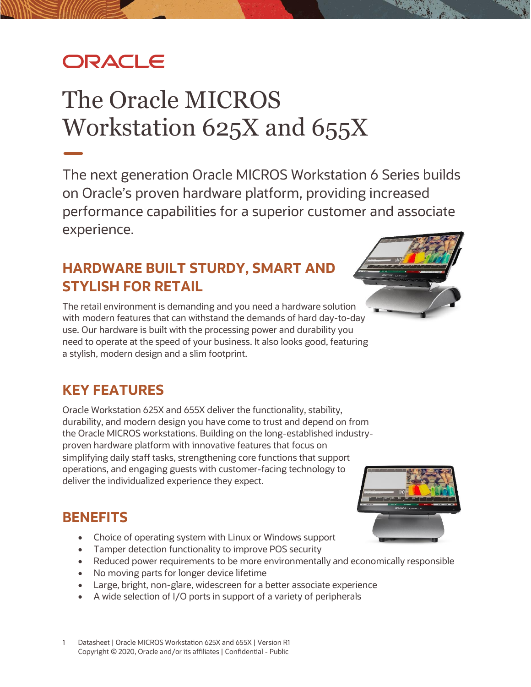# **ORACLE**

# The Oracle MICROS Workstation 625X and 655X

The next generation Oracle MICROS Workstation 6 Series builds on Oracle's proven hardware platform, providing increased performance capabilities for a superior customer and associate experience.

## **HARDWARE BUILT STURDY, SMART AND STYLISH FOR RETAIL**

The retail environment is demanding and you need a hardware solution with modern features that can withstand the demands of hard day-to-day use. Our hardware is built with the processing power and durability you need to operate at the speed of your business. It also looks good, featuring a stylish, modern design and a slim footprint.

## **KEY FEATURES**

Oracle Workstation 625X and 655X deliver the functionality, stability, durability, and modern design you have come to trust and depend on from the Oracle MICROS workstations. Building on the long-established industryproven hardware platform with innovative features that focus on simplifying daily staff tasks, strengthening core functions that support operations, and engaging guests with customer-facing technology to deliver the individualized experience they expect.

#### **BENEFITS**

- Choice of operating system with Linux or Windows support
- Tamper detection functionality to improve POS security
- Reduced power requirements to be more environmentally and economically responsible
- No moving parts for longer device lifetime
- Large, bright, non-glare, widescreen for a better associate experience
- A wide selection of I/O ports in support of a variety of peripherals





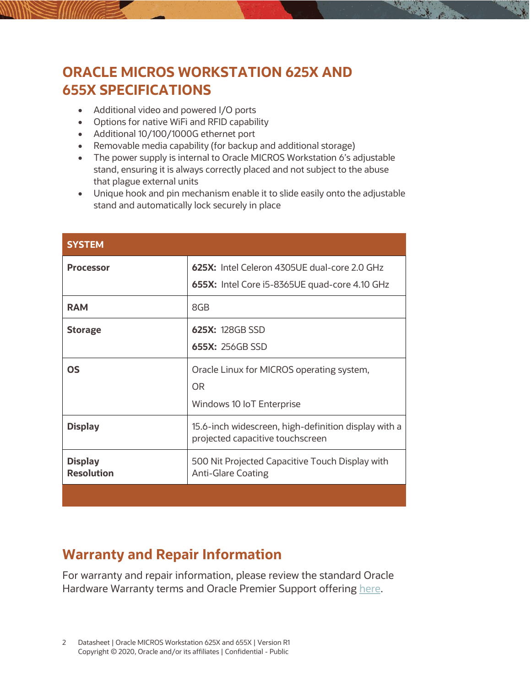### **ORACLE MICROS WORKSTATION 625X AND 655X SPECIFICATIONS**

- Additional video and powered I/O ports
- Options for native WiFi and RFID capability
- Additional 10/100/1000G ethernet port
- Removable media capability (for backup and additional storage)
- The power supply is internal to Oracle MICROS Workstation 6's adjustable stand, ensuring it is always correctly placed and not subject to the abuse that plague external units
- Unique hook and pin mechanism enable it to slide easily onto the adjustable stand and automatically lock securely in place

流す。

| <b>SYSTEM</b>                       |                                                                                          |
|-------------------------------------|------------------------------------------------------------------------------------------|
| <b>Processor</b>                    | 625X: Intel Celeron 4305UE dual-core 2.0 GHz                                             |
|                                     | 655X: Intel Core i5-8365UE quad-core 4.10 GHz                                            |
| <b>RAM</b>                          | 8GB                                                                                      |
| <b>Storage</b>                      | 625X: 128GB SSD                                                                          |
|                                     | 655X: 256GB SSD                                                                          |
| <b>OS</b>                           | Oracle Linux for MICROS operating system,                                                |
|                                     | <b>OR</b>                                                                                |
|                                     | Windows 10 IoT Enterprise                                                                |
| <b>Display</b>                      | 15.6-inch widescreen, high-definition display with a<br>projected capacitive touchscreen |
| <b>Display</b><br><b>Resolution</b> | 500 Nit Projected Capacitive Touch Display with<br><b>Anti-Glare Coating</b>             |
|                                     |                                                                                          |

#### **Warranty and Repair Information**

For warranty and repair information, please review the standard Oracle Hardware Warranty terms and Oracle Premier Support offering [here.](http://www.oracle.com/us/support/library/oracle-hardware-warranty-069192.pdf)